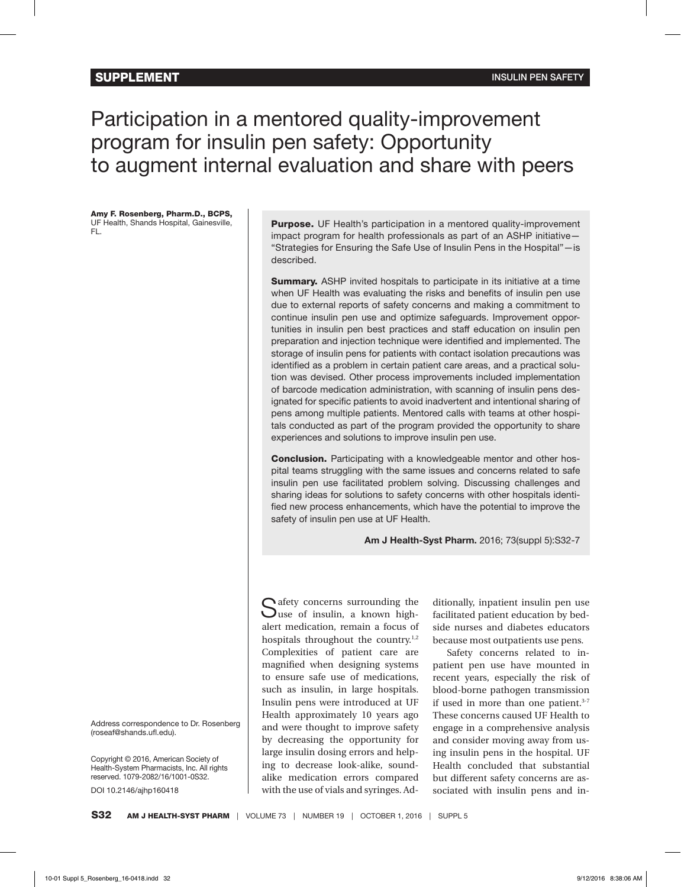Participation in a mentored quality-improvement program for insulin pen safety: Opportunity to augment internal evaluation and share with peers

Amy F. Rosenberg, Pharm.D., BCPS, UF Health, Shands Hospital, Gainesville, FL.

Purpose. UF Health's participation in a mentored quality-improvement impact program for health professionals as part of an ASHP initiative— "Strategies for Ensuring the Safe Use of Insulin Pens in the Hospital"—is described.

**Summary.** ASHP invited hospitals to participate in its initiative at a time when UF Health was evaluating the risks and benefits of insulin pen use due to external reports of safety concerns and making a commitment to continue insulin pen use and optimize safeguards. Improvement opportunities in insulin pen best practices and staff education on insulin pen preparation and injection technique were identified and implemented. The storage of insulin pens for patients with contact isolation precautions was identified as a problem in certain patient care areas, and a practical solution was devised. Other process improvements included implementation of barcode medication administration, with scanning of insulin pens designated for specific patients to avoid inadvertent and intentional sharing of pens among multiple patients. Mentored calls with teams at other hospitals conducted as part of the program provided the opportunity to share experiences and solutions to improve insulin pen use.

**Conclusion.** Participating with a knowledgeable mentor and other hospital teams struggling with the same issues and concerns related to safe insulin pen use facilitated problem solving. Discussing challenges and sharing ideas for solutions to safety concerns with other hospitals identified new process enhancements, which have the potential to improve the safety of insulin pen use at UF Health.

**Am J Health-Syst Pharm.** 2016; 73(suppl 5):S32-7

 $\bigcap$  afety concerns surrounding the **Quse** of insulin, a known highalert medication, remain a focus of hospitals throughout the country.<sup>1,2</sup> Complexities of patient care are magnified when designing systems to ensure safe use of medications, such as insulin, in large hospitals. Insulin pens were introduced at UF Health approximately 10 years ago and were thought to improve safety by decreasing the opportunity for large insulin dosing errors and helping to decrease look-alike, soundalike medication errors compared with the use of vials and syringes. Ad-

ditionally, inpatient insulin pen use facilitated patient education by bedside nurses and diabetes educators because most outpatients use pens.

Safety concerns related to inpatient pen use have mounted in recent years, especially the risk of blood-borne pathogen transmission if used in more than one patient.<sup>3-7</sup> These concerns caused UF Health to engage in a comprehensive analysis and consider moving away from using insulin pens in the hospital. UF Health concluded that substantial but different safety concerns are associated with insulin pens and in-

Address correspondence to Dr. Rosenberg (roseaf@shands.ufl.edu).

Copyright © 2016, American Society of Health-System Pharmacists, Inc. All rights reserved. 1079-2082/16/1001-0S32.

DOI 10.2146/ajhp160418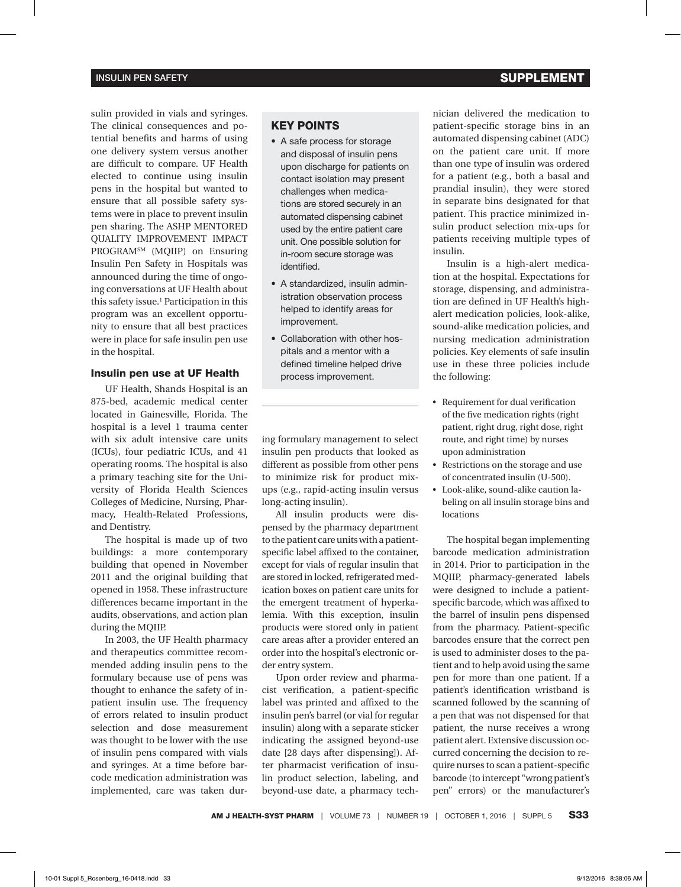sulin provided in vials and syringes. The clinical consequences and potential benefits and harms of using one delivery system versus another are difficult to compare. UF Health elected to continue using insulin pens in the hospital but wanted to ensure that all possible safety systems were in place to prevent insulin pen sharing. The ASHP MENTORED QUALITY IMPROVEMENT IMPACT PROGRAMSM (MQIIP) on Ensuring Insulin Pen Safety in Hospitals was announced during the time of ongoing conversations at UF Health about this safety issue.<sup>1</sup> Participation in this program was an excellent opportunity to ensure that all best practices were in place for safe insulin pen use in the hospital.

### Insulin pen use at UF Health

UF Health, Shands Hospital is an 875-bed, academic medical center located in Gainesville, Florida. The hospital is a level 1 trauma center with six adult intensive care units (ICUs), four pediatric ICUs, and 41 operating rooms. The hospital is also a primary teaching site for the University of Florida Health Sciences Colleges of Medicine, Nursing, Pharmacy, Health-Related Professions, and Dentistry.

The hospital is made up of two buildings: a more contemporary building that opened in November 2011 and the original building that opened in 1958. These infrastructure differences became important in the audits, observations, and action plan during the MQIIP.

In 2003, the UF Health pharmacy and therapeutics committee recommended adding insulin pens to the formulary because use of pens was thought to enhance the safety of inpatient insulin use. The frequency of errors related to insulin product selection and dose measurement was thought to be lower with the use of insulin pens compared with vials and syringes. At a time before barcode medication administration was implemented, care was taken dur-

# KEY POINTS

- A safe process for storage and disposal of insulin pens upon discharge for patients on contact isolation may present challenges when medications are stored securely in an automated dispensing cabinet used by the entire patient care unit. One possible solution for in-room secure storage was identified.
- • A standardized, insulin administration observation process helped to identify areas for improvement.
- Collaboration with other hospitals and a mentor with a defined timeline helped drive process improvement.

ing formulary management to select insulin pen products that looked as different as possible from other pens to minimize risk for product mixups (e.g., rapid-acting insulin versus long-acting insulin).

All insulin products were dispensed by the pharmacy department to the patient care units with a patientspecific label affixed to the container, except for vials of regular insulin that are stored in locked, refrigerated medication boxes on patient care units for the emergent treatment of hyperkalemia. With this exception, insulin products were stored only in patient care areas after a provider entered an order into the hospital's electronic order entry system.

Upon order review and pharmacist verification, a patient-specific label was printed and affixed to the insulin pen's barrel (or vial for regular insulin) along with a separate sticker indicating the assigned beyond-use date [28 days after dispensing]). After pharmacist verification of insulin product selection, labeling, and beyond-use date, a pharmacy technician delivered the medication to patient-specific storage bins in an automated dispensing cabinet (ADC) on the patient care unit. If more than one type of insulin was ordered for a patient (e.g., both a basal and prandial insulin), they were stored in separate bins designated for that patient. This practice minimized insulin product selection mix-ups for patients receiving multiple types of insulin.

Insulin is a high-alert medication at the hospital. Expectations for storage, dispensing, and administration are defined in UF Health's highalert medication policies, look-alike, sound-alike medication policies, and nursing medication administration policies. Key elements of safe insulin use in these three policies include the following:

- Requirement for dual verification of the five medication rights (right patient, right drug, right dose, right route, and right time) by nurses upon administration
- Restrictions on the storage and use of concentrated insulin (U-500).
- • Look-alike, sound-alike caution labeling on all insulin storage bins and locations

The hospital began implementing barcode medication administration in 2014. Prior to participation in the MQIIP, pharmacy-generated labels were designed to include a patientspecific barcode, which was affixed to the barrel of insulin pens dispensed from the pharmacy. Patient-specific barcodes ensure that the correct pen is used to administer doses to the patient and to help avoid using the same pen for more than one patient. If a patient's identification wristband is scanned followed by the scanning of a pen that was not dispensed for that patient, the nurse receives a wrong patient alert. Extensive discussion occurred concerning the decision to require nurses to scan a patient-specific barcode (to intercept "wrong patient's pen" errors) or the manufacturer's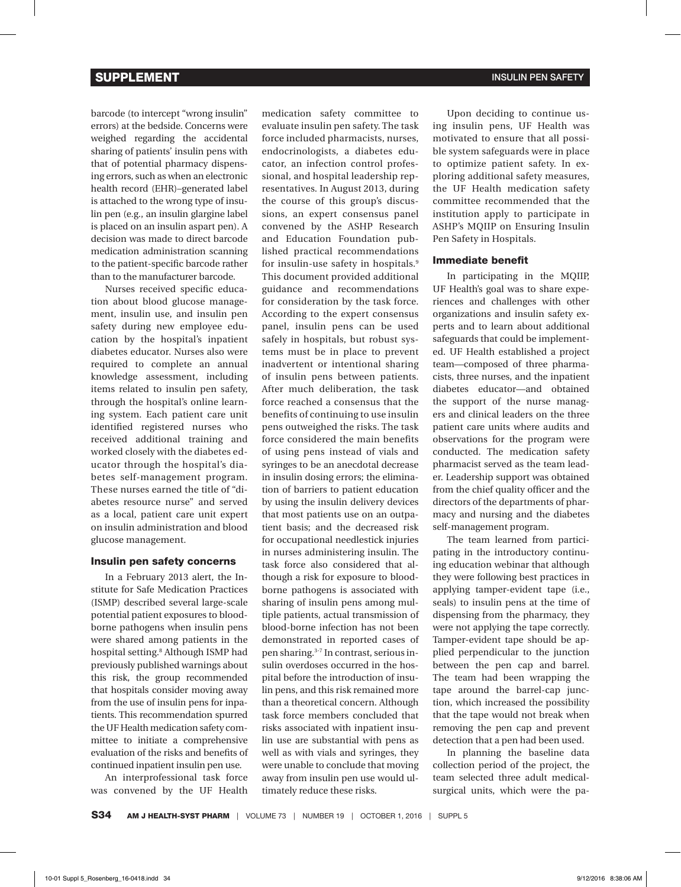barcode (to intercept "wrong insulin" errors) at the bedside. Concerns were weighed regarding the accidental sharing of patients' insulin pens with that of potential pharmacy dispensing errors, such as when an electronic health record (EHR)–generated label is attached to the wrong type of insulin pen (e.g., an insulin glargine label is placed on an insulin aspart pen). A decision was made to direct barcode medication administration scanning to the patient-specific barcode rather than to the manufacturer barcode.

Nurses received specific education about blood glucose management, insulin use, and insulin pen safety during new employee education by the hospital's inpatient diabetes educator. Nurses also were required to complete an annual knowledge assessment, including items related to insulin pen safety, through the hospital's online learning system. Each patient care unit identified registered nurses who received additional training and worked closely with the diabetes educator through the hospital's diabetes self-management program. These nurses earned the title of "diabetes resource nurse" and served as a local, patient care unit expert on insulin administration and blood glucose management.

### Insulin pen safety concerns

In a February 2013 alert, the Institute for Safe Medication Practices (ISMP) described several large-scale potential patient exposures to bloodborne pathogens when insulin pens were shared among patients in the hospital setting.8 Although ISMP had previously published warnings about this risk, the group recommended that hospitals consider moving away from the use of insulin pens for inpatients. This recommendation spurred the UF Health medication safety committee to initiate a comprehensive evaluation of the risks and benefits of continued inpatient insulin pen use.

An interprofessional task force was convened by the UF Health

medication safety committee to evaluate insulin pen safety. The task force included pharmacists, nurses, endocrinologists, a diabetes educator, an infection control professional, and hospital leadership representatives. In August 2013, during the course of this group's discussions, an expert consensus panel convened by the ASHP Research and Education Foundation published practical recommendations for insulin-use safety in hospitals.<sup>9</sup> This document provided additional guidance and recommendations for consideration by the task force. According to the expert consensus panel, insulin pens can be used safely in hospitals, but robust systems must be in place to prevent inadvertent or intentional sharing of insulin pens between patients. After much deliberation, the task force reached a consensus that the benefits of continuing to use insulin pens outweighed the risks. The task force considered the main benefits of using pens instead of vials and syringes to be an anecdotal decrease in insulin dosing errors; the elimination of barriers to patient education by using the insulin delivery devices that most patients use on an outpatient basis; and the decreased risk for occupational needlestick injuries in nurses administering insulin. The task force also considered that although a risk for exposure to bloodborne pathogens is associated with sharing of insulin pens among multiple patients, actual transmission of blood-borne infection has not been demonstrated in reported cases of pen sharing.3-7 In contrast, serious insulin overdoses occurred in the hospital before the introduction of insulin pens, and this risk remained more than a theoretical concern. Although task force members concluded that risks associated with inpatient insulin use are substantial with pens as well as with vials and syringes, they were unable to conclude that moving away from insulin pen use would ultimately reduce these risks.

Upon deciding to continue using insulin pens, UF Health was motivated to ensure that all possible system safeguards were in place to optimize patient safety. In exploring additional safety measures, the UF Health medication safety committee recommended that the institution apply to participate in ASHP's MQIIP on Ensuring Insulin Pen Safety in Hospitals.

#### Immediate benefit

In participating in the MQIIP, UF Health's goal was to share experiences and challenges with other organizations and insulin safety experts and to learn about additional safeguards that could be implemented. UF Health established a project team—composed of three pharmacists, three nurses, and the inpatient diabetes educator—and obtained the support of the nurse managers and clinical leaders on the three patient care units where audits and observations for the program were conducted. The medication safety pharmacist served as the team leader. Leadership support was obtained from the chief quality officer and the directors of the departments of pharmacy and nursing and the diabetes self-management program.

The team learned from participating in the introductory continuing education webinar that although they were following best practices in applying tamper-evident tape (i.e., seals) to insulin pens at the time of dispensing from the pharmacy, they were not applying the tape correctly. Tamper-evident tape should be applied perpendicular to the junction between the pen cap and barrel. The team had been wrapping the tape around the barrel-cap junction, which increased the possibility that the tape would not break when removing the pen cap and prevent detection that a pen had been used.

In planning the baseline data collection period of the project, the team selected three adult medicalsurgical units, which were the pa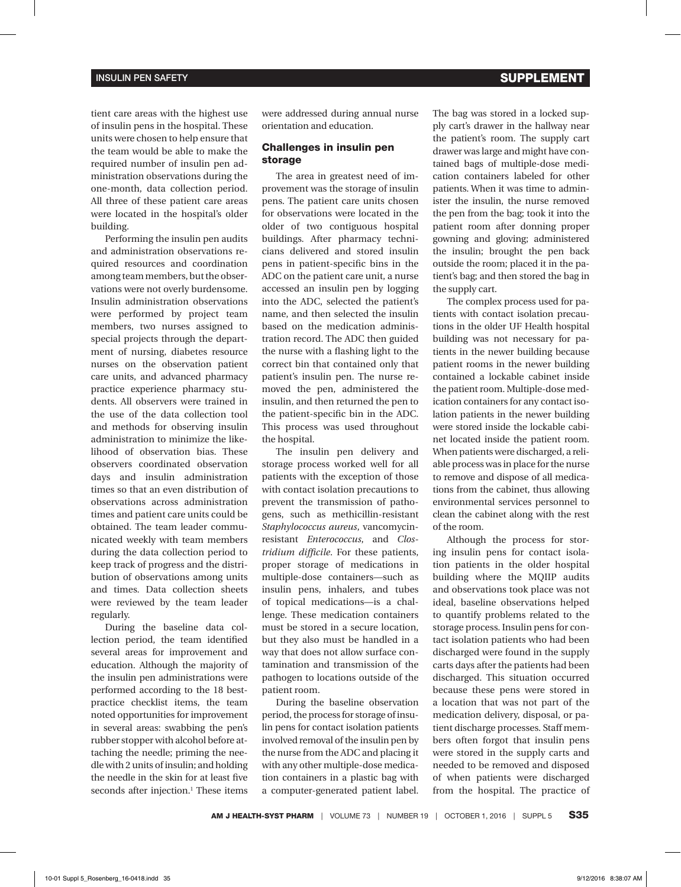tient care areas with the highest use of insulin pens in the hospital. These units were chosen to help ensure that the team would be able to make the required number of insulin pen administration observations during the one-month, data collection period. All three of these patient care areas were located in the hospital's older building.

Performing the insulin pen audits and administration observations required resources and coordination among team members, but the observations were not overly burdensome. Insulin administration observations were performed by project team members, two nurses assigned to special projects through the department of nursing, diabetes resource nurses on the observation patient care units, and advanced pharmacy practice experience pharmacy students. All observers were trained in the use of the data collection tool and methods for observing insulin administration to minimize the likelihood of observation bias. These observers coordinated observation days and insulin administration times so that an even distribution of observations across administration times and patient care units could be obtained. The team leader communicated weekly with team members during the data collection period to keep track of progress and the distribution of observations among units and times. Data collection sheets were reviewed by the team leader regularly.

During the baseline data collection period, the team identified several areas for improvement and education. Although the majority of the insulin pen administrations were performed according to the 18 bestpractice checklist items, the team noted opportunities for improvement in several areas: swabbing the pen's rubber stopper with alcohol before attaching the needle; priming the needle with 2 units of insulin; and holding the needle in the skin for at least five seconds after injection.<sup>1</sup> These items were addressed during annual nurse orientation and education.

## Challenges in insulin pen storage

The area in greatest need of improvement was the storage of insulin pens. The patient care units chosen for observations were located in the older of two contiguous hospital buildings. After pharmacy technicians delivered and stored insulin pens in patient-specific bins in the ADC on the patient care unit, a nurse accessed an insulin pen by logging into the ADC, selected the patient's name, and then selected the insulin based on the medication administration record. The ADC then guided the nurse with a flashing light to the correct bin that contained only that patient's insulin pen. The nurse removed the pen, administered the insulin, and then returned the pen to the patient-specific bin in the ADC. This process was used throughout the hospital.

The insulin pen delivery and storage process worked well for all patients with the exception of those with contact isolation precautions to prevent the transmission of pathogens, such as methicillin-resistant *Staphylococcus aureus*, vancomycinresistant *Enterococcus*, and *Clostridium difficile*. For these patients, proper storage of medications in multiple-dose containers—such as insulin pens, inhalers, and tubes of topical medications—is a challenge. These medication containers must be stored in a secure location, but they also must be handled in a way that does not allow surface contamination and transmission of the pathogen to locations outside of the patient room.

During the baseline observation period, the process for storage of insulin pens for contact isolation patients involved removal of the insulin pen by the nurse from the ADC and placing it with any other multiple-dose medication containers in a plastic bag with a computer-generated patient label. The bag was stored in a locked supply cart's drawer in the hallway near the patient's room. The supply cart drawer was large and might have contained bags of multiple-dose medication containers labeled for other patients. When it was time to administer the insulin, the nurse removed the pen from the bag; took it into the patient room after donning proper gowning and gloving; administered the insulin; brought the pen back outside the room; placed it in the patient's bag; and then stored the bag in the supply cart.

The complex process used for patients with contact isolation precautions in the older UF Health hospital building was not necessary for patients in the newer building because patient rooms in the newer building contained a lockable cabinet inside the patient room. Multiple-dose medication containers for any contact isolation patients in the newer building were stored inside the lockable cabinet located inside the patient room. When patients were discharged, a reliable process was in place for the nurse to remove and dispose of all medications from the cabinet, thus allowing environmental services personnel to clean the cabinet along with the rest of the room.

Although the process for storing insulin pens for contact isolation patients in the older hospital building where the MQIIP audits and observations took place was not ideal, baseline observations helped to quantify problems related to the storage process. Insulin pens for contact isolation patients who had been discharged were found in the supply carts days after the patients had been discharged. This situation occurred because these pens were stored in a location that was not part of the medication delivery, disposal, or patient discharge processes. Staff members often forgot that insulin pens were stored in the supply carts and needed to be removed and disposed of when patients were discharged from the hospital. The practice of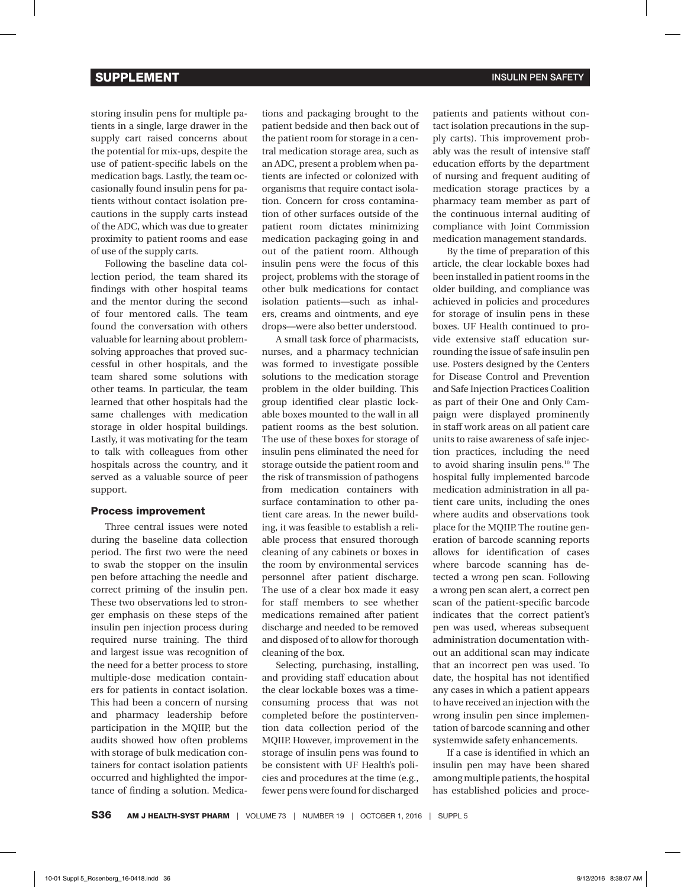storing insulin pens for multiple patients in a single, large drawer in the supply cart raised concerns about the potential for mix-ups, despite the use of patient-specific labels on the medication bags. Lastly, the team occasionally found insulin pens for patients without contact isolation precautions in the supply carts instead of the ADC, which was due to greater proximity to patient rooms and ease of use of the supply carts.

Following the baseline data collection period, the team shared its findings with other hospital teams and the mentor during the second of four mentored calls. The team found the conversation with others valuable for learning about problemsolving approaches that proved successful in other hospitals, and the team shared some solutions with other teams. In particular, the team learned that other hospitals had the same challenges with medication storage in older hospital buildings. Lastly, it was motivating for the team to talk with colleagues from other hospitals across the country, and it served as a valuable source of peer support.

### Process improvement

Three central issues were noted during the baseline data collection period. The first two were the need to swab the stopper on the insulin pen before attaching the needle and correct priming of the insulin pen. These two observations led to stronger emphasis on these steps of the insulin pen injection process during required nurse training. The third and largest issue was recognition of the need for a better process to store multiple-dose medication containers for patients in contact isolation. This had been a concern of nursing and pharmacy leadership before participation in the MQIIP, but the audits showed how often problems with storage of bulk medication containers for contact isolation patients occurred and highlighted the importance of finding a solution. Medications and packaging brought to the patient bedside and then back out of the patient room for storage in a central medication storage area, such as an ADC, present a problem when patients are infected or colonized with organisms that require contact isolation. Concern for cross contamination of other surfaces outside of the patient room dictates minimizing medication packaging going in and out of the patient room. Although insulin pens were the focus of this project, problems with the storage of other bulk medications for contact isolation patients—such as inhalers, creams and ointments, and eye drops—were also better understood.

A small task force of pharmacists, nurses, and a pharmacy technician was formed to investigate possible solutions to the medication storage problem in the older building. This group identified clear plastic lockable boxes mounted to the wall in all patient rooms as the best solution. The use of these boxes for storage of insulin pens eliminated the need for storage outside the patient room and the risk of transmission of pathogens from medication containers with surface contamination to other patient care areas. In the newer building, it was feasible to establish a reliable process that ensured thorough cleaning of any cabinets or boxes in the room by environmental services personnel after patient discharge. The use of a clear box made it easy for staff members to see whether medications remained after patient discharge and needed to be removed and disposed of to allow for thorough cleaning of the box.

Selecting, purchasing, installing, and providing staff education about the clear lockable boxes was a timeconsuming process that was not completed before the postintervention data collection period of the MQIIP. However, improvement in the storage of insulin pens was found to be consistent with UF Health's policies and procedures at the time (e.g., fewer pens were found for discharged patients and patients without contact isolation precautions in the supply carts). This improvement probably was the result of intensive staff education efforts by the department of nursing and frequent auditing of medication storage practices by a pharmacy team member as part of the continuous internal auditing of compliance with Joint Commission medication management standards.

By the time of preparation of this article, the clear lockable boxes had been installed in patient rooms in the older building, and compliance was achieved in policies and procedures for storage of insulin pens in these boxes. UF Health continued to provide extensive staff education surrounding the issue of safe insulin pen use. Posters designed by the Centers for Disease Control and Prevention and Safe Injection Practices Coalition as part of their One and Only Campaign were displayed prominently in staff work areas on all patient care units to raise awareness of safe injection practices, including the need to avoid sharing insulin pens.10 The hospital fully implemented barcode medication administration in all patient care units, including the ones where audits and observations took place for the MQIIP. The routine generation of barcode scanning reports allows for identification of cases where barcode scanning has detected a wrong pen scan. Following a wrong pen scan alert, a correct pen scan of the patient-specific barcode indicates that the correct patient's pen was used, whereas subsequent administration documentation without an additional scan may indicate that an incorrect pen was used. To date, the hospital has not identified any cases in which a patient appears to have received an injection with the wrong insulin pen since implementation of barcode scanning and other systemwide safety enhancements.

If a case is identified in which an insulin pen may have been shared among multiple patients, the hospital has established policies and proce-